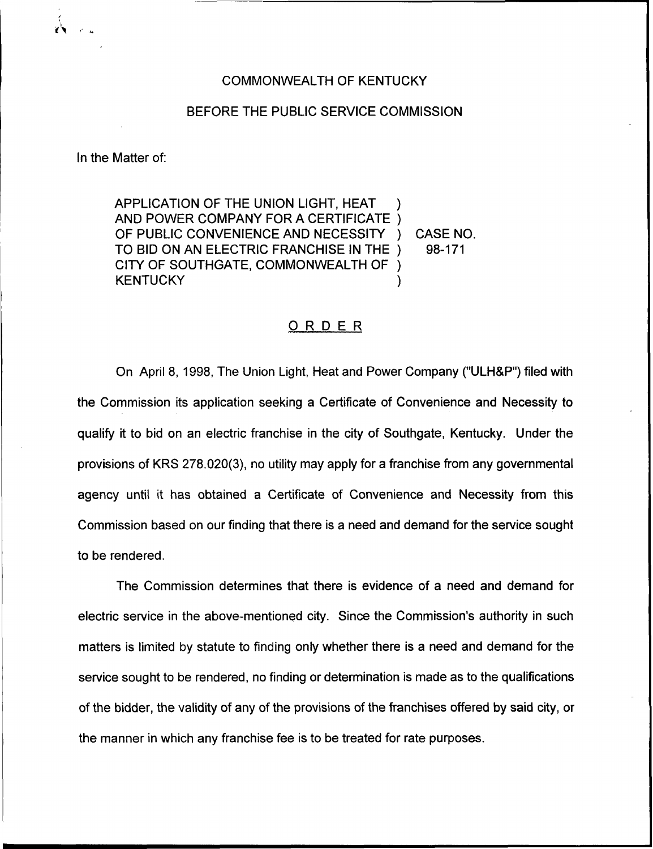## COMMONWEALTH OF KENTUCKY

## BEFORE THE PUBLIC SERVICE COMMISSION

In the Matter of:

APPLICATION OF THE UNION LIGHT, HEAT ) AND POWER COMPANY FOR A CERTIFICATE ) OF PUBLIC CONVENIENCE AND NECESSITY ) CASE NO.<br>TO BID ON AN ELECTRIC FRANCHISE IN THE ) 98-171 TO BID ON AN ELECTRIC FRANCHISE IN THE ) CITY OF SOUTHGATE, COMMONWEALTH OF ) **KENTUCKY** 

## ORDER

On April 8, 1998, The Union Light, Heat and Power Company ("ULH&P") filed with the Commission its application seeking a Certificate of Convenience and Necessity to qualify it to bid on an electric franchise in the city of Southgate, Kentucky. Under the provisions of KRS 278.020(3), no utility may apply for a franchise from any governmental agency until it has obtained a Certificate of Convenience and Necessity from this Commission based on our finding that there is a need and demand for the service sought to be rendered.

The Commission determines that there is evidence of a need and demand for electric service in the above-mentioned city. Since the Commission's authority in such matters is limited by statute to finding only whether there is a need and demand for the service sought to be rendered, no finding or determination is made as to the qualifications of the bidder, the validity of any of the provisions of the franchises offered by said city, or the manner in which any franchise fee is to be treated for rate purposes.